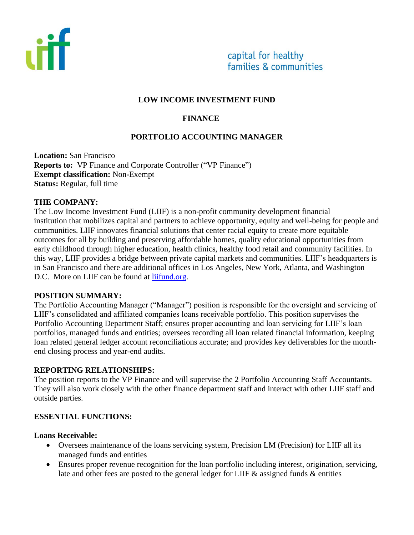

#### **LOW INCOME INVESTMENT FUND**

## **FINANCE**

## **PORTFOLIO ACCOUNTING MANAGER**

**Location:** San Francisco **Reports to:** VP Finance and Corporate Controller ("VP Finance") **Exempt classification:** Non**-**Exempt **Status:** Regular, full time

#### **THE COMPANY:**

The Low Income Investment Fund (LIIF) is a non-profit community development financial institution that mobilizes capital and partners to achieve opportunity, equity and well-being for people and communities. LIIF innovates financial solutions that center racial equity to create more equitable outcomes for all by building and preserving affordable homes, quality educational opportunities from early childhood through higher education, health clinics, healthy food retail and community facilities. In this way, LIIF provides a bridge between private capital markets and communities. LIIF's headquarters is in San Francisco and there are additional offices in Los Angeles, New York, Atlanta, and Washington D.C. More on LIIF can be found at [liifund.org.](https://www.liifund.org/)

#### **POSITION SUMMARY:**

The Portfolio Accounting Manager ("Manager") position is responsible for the oversight and servicing of LIIF's consolidated and affiliated companies loans receivable portfolio. This position supervises the Portfolio Accounting Department Staff; ensures proper accounting and loan servicing for LIIF's loan portfolios, managed funds and entities; oversees recording all loan related financial information, keeping loan related general ledger account reconciliations accurate; and provides key deliverables for the monthend closing process and year-end audits.

### **REPORTING RELATIONSHIPS:**

The position reports to the VP Finance and will supervise the 2 Portfolio Accounting Staff Accountants. They will also work closely with the other finance department staff and interact with other LIIF staff and outside parties.

### **ESSENTIAL FUNCTIONS:**

#### **Loans Receivable:**

- Oversees maintenance of the loans servicing system, Precision LM (Precision) for LIIF all its managed funds and entities
- Ensures proper revenue recognition for the loan portfolio including interest, origination, servicing, late and other fees are posted to the general ledger for LIIF & assigned funds & entities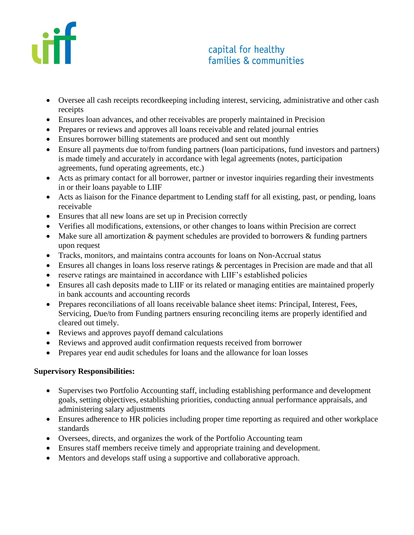

# capital for healthy families & communities

- Oversee all cash receipts recordkeeping including interest, servicing, administrative and other cash receipts
- Ensures loan advances, and other receivables are properly maintained in Precision
- Prepares or reviews and approves all loans receivable and related journal entries
- Ensures borrower billing statements are produced and sent out monthly
- Ensure all payments due to/from funding partners (loan participations, fund investors and partners) is made timely and accurately in accordance with legal agreements (notes, participation agreements, fund operating agreements, etc.)
- Acts as primary contact for all borrower, partner or investor inquiries regarding their investments in or their loans payable to LIIF
- Acts as liaison for the Finance department to Lending staff for all existing, past, or pending, loans receivable
- Ensures that all new loans are set up in Precision correctly
- Verifies all modifications, extensions, or other changes to loans within Precision are correct
- Make sure all amortization & payment schedules are provided to borrowers & funding partners upon request
- Tracks, monitors, and maintains contra accounts for loans on Non-Accrual status
- Ensures all changes in loans loss reserve ratings  $\&$  percentages in Precision are made and that all
- reserve ratings are maintained in accordance with LIIF's established policies
- Ensures all cash deposits made to LIIF or its related or managing entities are maintained properly in bank accounts and accounting records
- Prepares reconciliations of all loans receivable balance sheet items: Principal, Interest, Fees, Servicing, Due/to from Funding partners ensuring reconciling items are properly identified and cleared out timely.
- Reviews and approves payoff demand calculations
- Reviews and approved audit confirmation requests received from borrower
- Prepares year end audit schedules for loans and the allowance for loan losses

### **Supervisory Responsibilities:**

- Supervises two Portfolio Accounting staff, including establishing performance and development goals, setting objectives, establishing priorities, conducting annual performance appraisals, and administering salary adjustments
- Ensures adherence to HR policies including proper time reporting as required and other workplace standards
- Oversees, directs, and organizes the work of the Portfolio Accounting team
- Ensures staff members receive timely and appropriate training and development.
- Mentors and develops staff using a supportive and collaborative approach.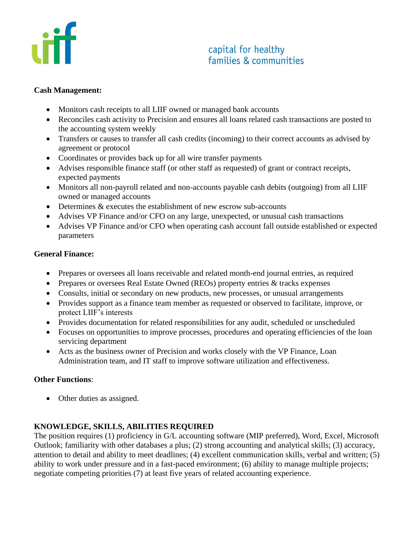

# capital for healthy families & communities

### **Cash Management:**

- Monitors cash receipts to all LIIF owned or managed bank accounts
- Reconciles cash activity to Precision and ensures all loans related cash transactions are posted to the accounting system weekly
- Transfers or causes to transfer all cash credits (incoming) to their correct accounts as advised by agreement or protocol
- Coordinates or provides back up for all wire transfer payments
- Advises responsible finance staff (or other staff as requested) of grant or contract receipts, expected payments
- Monitors all non-payroll related and non-accounts payable cash debits (outgoing) from all LIIF owned or managed accounts
- Determines & executes the establishment of new escrow sub-accounts
- Advises VP Finance and/or CFO on any large, unexpected, or unusual cash transactions
- Advises VP Finance and/or CFO when operating cash account fall outside established or expected parameters

### **General Finance:**

- Prepares or oversees all loans receivable and related month-end journal entries, as required
- Prepares or oversees Real Estate Owned (REOs) property entries & tracks expenses
- Consults, initial or secondary on new products, new processes, or unusual arrangements
- Provides support as a finance team member as requested or observed to facilitate, improve, or protect LIIF's interests
- Provides documentation for related responsibilities for any audit, scheduled or unscheduled
- Focuses on opportunities to improve processes, procedures and operating efficiencies of the loan servicing department
- Acts as the business owner of Precision and works closely with the VP Finance, Loan Administration team, and IT staff to improve software utilization and effectiveness.

## **Other Functions**:

• Other duties as assigned.

## **KNOWLEDGE, SKILLS, ABILITIES REQUIRED**

The position requires (1) proficiency in G/L accounting software (MIP preferred), Word, Excel, Microsoft Outlook; familiarity with other databases a plus; (2) strong accounting and analytical skills; (3) accuracy, attention to detail and ability to meet deadlines; (4) excellent communication skills, verbal and written; (5) ability to work under pressure and in a fast-paced environment; (6) ability to manage multiple projects; negotiate competing priorities (7) at least five years of related accounting experience.